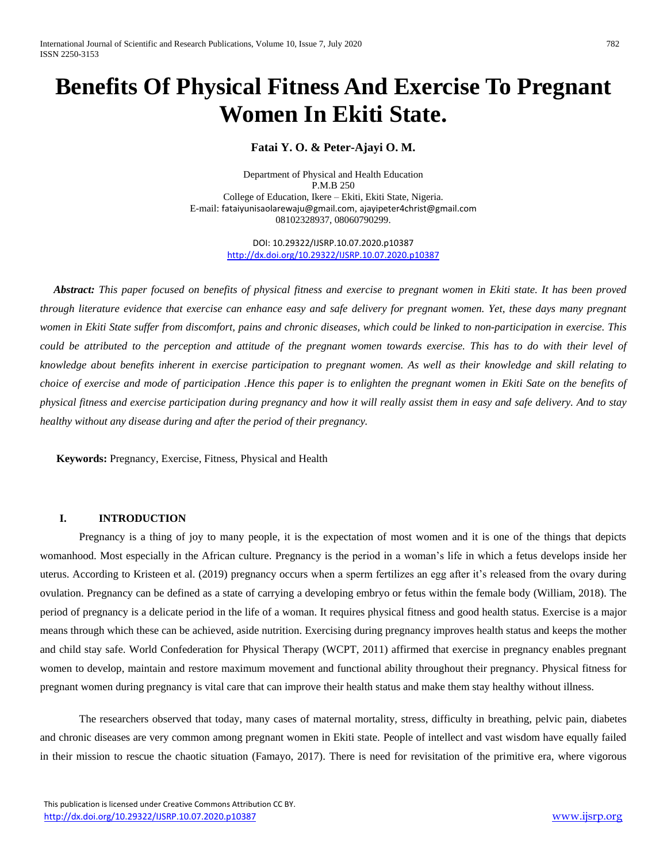# **Benefits Of Physical Fitness And Exercise To Pregnant Women In Ekiti State.**

# **Fatai Y. O. & Peter-Ajayi O. M.**

Department of Physical and Health Education P.M.B 250 College of Education, Ikere – Ekiti, Ekiti State, Nigeria. E-mail: [fataiyunisaolarewaju@gmail.com](mailto:fataiyunisaolarewaju@gmail.com), [ajayipeter4christ@gmail.com](mailto:ajayipeter4christ@gmail.com) 08102328937, 08060790299.

> DOI: 10.29322/IJSRP.10.07.2020.p10387 <http://dx.doi.org/10.29322/IJSRP.10.07.2020.p10387>

 *Abstract: This paper focused on benefits of physical fitness and exercise to pregnant women in Ekiti state. It has been proved through literature evidence that exercise can enhance easy and safe delivery for pregnant women. Yet, these days many pregnant*  women in Ekiti State suffer from discomfort, pains and chronic diseases, which could be linked to non-participation in exercise. This *could be attributed to the perception and attitude of the pregnant women towards exercise. This has to do with their level of knowledge about benefits inherent in exercise participation to pregnant women. As well as their knowledge and skill relating to choice of exercise and mode of participation .Hence this paper is to enlighten the pregnant women in Ekiti Sate on the benefits of physical fitness and exercise participation during pregnancy and how it will really assist them in easy and safe delivery. And to stay healthy without any disease during and after the period of their pregnancy.*

 **Keywords:** Pregnancy, Exercise, Fitness, Physical and Health

#### **I. INTRODUCTION**

Pregnancy is a thing of joy to many people, it is the expectation of most women and it is one of the things that depicts womanhood. Most especially in the African culture. Pregnancy is the period in a woman's life in which a fetus develops inside her uterus. According to Kristeen et al. (2019) pregnancy occurs when a sperm fertilizes an egg after it's released from the ovary during ovulation. Pregnancy can be defined as a state of carrying a developing embryo or fetus within the female body (William, 2018). The period of pregnancy is a delicate period in the life of a woman. It requires physical fitness and good health status. Exercise is a major means through which these can be achieved, aside nutrition. Exercising during pregnancy improves health status and keeps the mother and child stay safe. World Confederation for Physical Therapy (WCPT, 2011) affirmed that exercise in pregnancy enables pregnant women to develop, maintain and restore maximum movement and functional ability throughout their pregnancy. Physical fitness for pregnant women during pregnancy is vital care that can improve their health status and make them stay healthy without illness.

The researchers observed that today, many cases of maternal mortality, stress, difficulty in breathing, pelvic pain, diabetes and chronic diseases are very common among pregnant women in Ekiti state. People of intellect and vast wisdom have equally failed in their mission to rescue the chaotic situation (Famayo, 2017). There is need for revisitation of the primitive era, where vigorous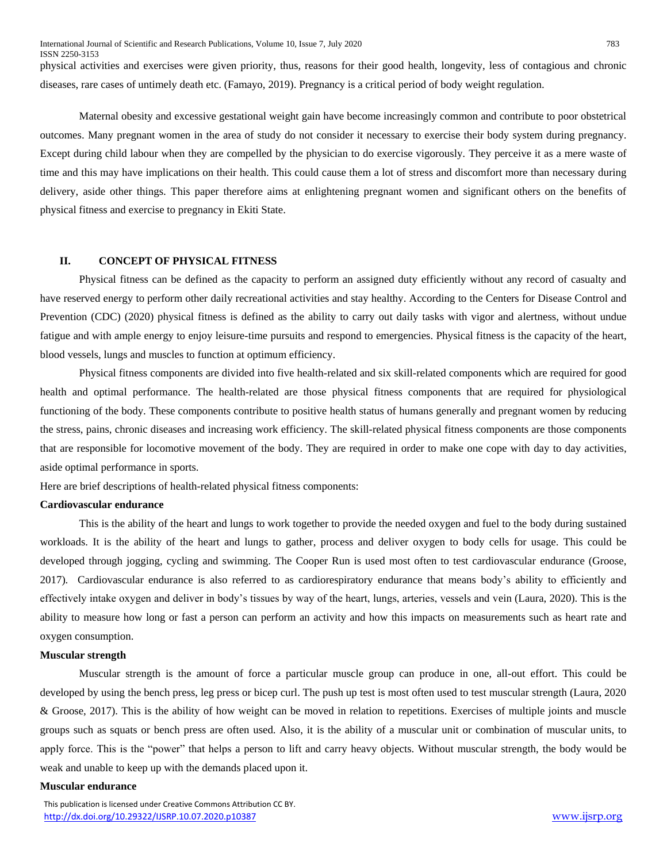International Journal of Scientific and Research Publications, Volume 10, Issue 7, July 2020 783 ISSN 2250-3153

physical activities and exercises were given priority, thus, reasons for their good health, longevity, less of contagious and chronic diseases, rare cases of untimely death etc. (Famayo, 2019). Pregnancy is a critical period of body weight regulation.

Maternal obesity and excessive gestational weight gain have become increasingly common and contribute to poor obstetrical outcomes. Many pregnant women in the area of study do not consider it necessary to exercise their body system during pregnancy. Except during child labour when they are compelled by the physician to do exercise vigorously. They perceive it as a mere waste of time and this may have implications on their health. This could cause them a lot of stress and discomfort more than necessary during delivery, aside other things. This paper therefore aims at enlightening pregnant women and significant others on the benefits of physical fitness and exercise to pregnancy in Ekiti State.

#### **II. CONCEPT OF PHYSICAL FITNESS**

Physical fitness can be defined as the capacity to perform an assigned duty efficiently without any record of casualty and have reserved energy to perform other daily recreational activities and stay healthy. According to the Centers for Disease Control and Prevention (CDC) (2020) physical fitness is defined as the ability to carry out daily tasks with vigor and alertness, without undue fatigue and with ample energy to enjoy leisure-time pursuits and respond to emergencies. Physical fitness is the capacity of the heart, blood vessels, lungs and muscles to function at optimum efficiency.

Physical fitness components are divided into five health-related and six skill-related components which are required for good health and optimal performance. The health-related are those physical fitness components that are required for physiological functioning of the body. These components contribute to positive health status of humans generally and pregnant women by reducing the stress, pains, chronic diseases and increasing work efficiency. The skill-related physical fitness components are those components that are responsible for locomotive movement of the body. They are required in order to make one cope with day to day activities, aside optimal performance in sports.

Here are brief descriptions of health-related physical fitness components:

#### **Cardiovascular endurance**

This is the ability of the heart and lungs to work together to provide the needed oxygen and fuel to the body during sustained workloads. It is the ability of the heart and lungs to gather, process and deliver oxygen to body cells for usage. This could be developed through jogging, cycling and swimming. The Cooper Run is used most often to test cardiovascular endurance (Groose, 2017). Cardiovascular endurance is also referred to as cardiorespiratory endurance that means body's ability to efficiently and effectively intake oxygen and deliver in body's tissues by way of the heart, lungs, arteries, vessels and vein (Laura, 2020). This is the ability to measure how long or fast a person can perform an activity and how this impacts on measurements such as heart rate and oxygen consumption.

#### **Muscular strength**

Muscular strength is the amount of force a particular muscle group can produce in one, all-out effort. This could be developed by using the bench press, leg press or bicep curl. The push up test is most often used to test muscular strength (Laura, 2020 & Groose, 2017). This is the ability of how weight can be moved in relation to repetitions. Exercises of multiple joints and muscle groups such as squats or bench press are often used. Also, it is the ability of a muscular unit or combination of muscular units, to apply force. This is the "power" that helps a person to lift and carry heavy objects. Without muscular strength, the body would be weak and unable to keep up with the demands placed upon it.

#### **Muscular endurance**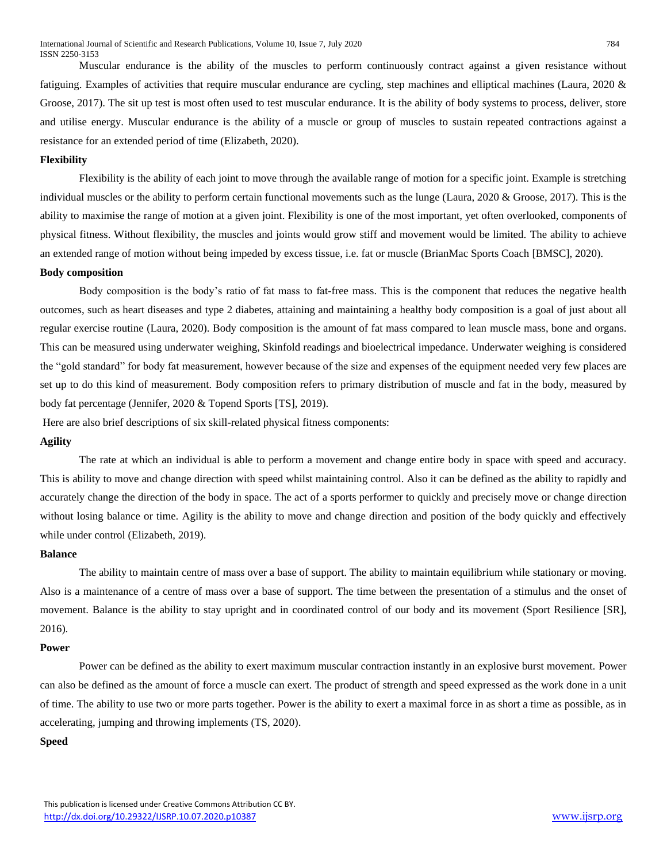Muscular endurance is the ability of the muscles to perform continuously contract against a given resistance without fatiguing. Examples of activities that require muscular endurance are cycling, step machines and elliptical machines (Laura, 2020 & Groose, 2017). The sit up test is most often used to test muscular endurance. It is the ability of body systems to process, deliver, store and utilise energy. Muscular endurance is the ability of a muscle or group of muscles to sustain repeated contractions against a resistance for an extended period of time (Elizabeth, 2020).

#### **Flexibility**

Flexibility is the ability of each joint to move through the available range of motion for a specific joint. Example is stretching individual muscles or the ability to perform certain functional movements such as the lunge (Laura, 2020 & Groose, 2017). This is the ability to maximise the range of motion at a given joint. Flexibility is one of the most important, yet often overlooked, components of physical fitness. Without flexibility, the muscles and joints would grow stiff and movement would be limited. The ability to achieve an extended range of motion without being impeded by excess tissue, i.e. fat or muscle (BrianMac Sports Coach [BMSC], 2020).

#### **Body composition**

Body composition is the body's ratio of fat mass to fat-free mass. This is the component that reduces the negative health outcomes, such as heart diseases and type 2 diabetes, attaining and maintaining a healthy body composition is a goal of just about all regular exercise routine (Laura, 2020). Body composition is the amount of fat mass compared to lean muscle mass, bone and organs. This can be measured using underwater weighing, Skinfold readings and bioelectrical impedance. Underwater weighing is considered the "gold standard" for body fat measurement, however because of the size and expenses of the equipment needed very few places are set up to do this kind of measurement. Body composition refers to primary distribution of muscle and fat in the body, measured by body fat percentage (Jennifer, 2020 & Topend Sports [TS], 2019).

Here are also brief descriptions of six skill-related physical fitness components:

#### **Agility**

The rate at which an individual is able to perform a movement and change entire body in space with speed and accuracy. This is ability to move and change direction with speed whilst maintaining control. Also it can be defined as the ability to rapidly and accurately change the direction of the body in space. The act of a sports performer to quickly and precisely move or change direction without losing balance or time. Agility is the ability to move and change direction and position of the body quickly and effectively while under control (Elizabeth, 2019).

#### **Balance**

The ability to maintain centre of mass over a base of support. The ability to maintain equilibrium while stationary or moving. Also is a maintenance of a centre of mass over a base of support. The time between the presentation of a stimulus and the onset of movement. Balance is the ability to stay upright and in coordinated control of our body and its movement (Sport Resilience [SR], 2016).

### **Power**

Power can be defined as the ability to exert maximum muscular contraction instantly in an explosive burst movement. Power can also be defined as the amount of force a muscle can exert. The product of strength and speed expressed as the work done in a unit of time. The ability to use two or more parts together. Power is the ability to exert a maximal force in as short a time as possible, as in accelerating, jumping and throwing implements (TS, 2020).

# **Speed**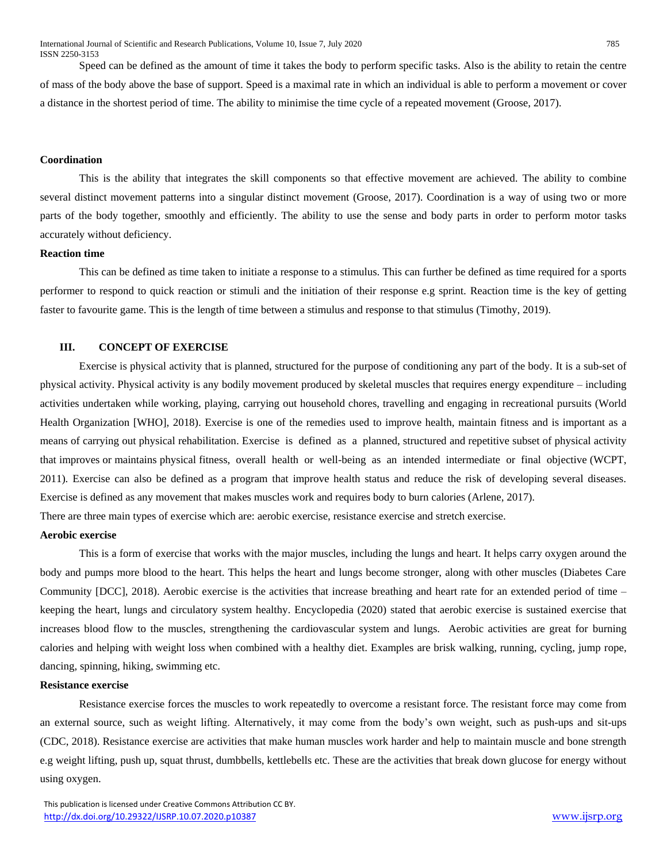Speed can be defined as the amount of time it takes the body to perform specific tasks. Also is the ability to retain the centre of mass of the body above the base of support. Speed is a maximal rate in which an individual is able to perform a movement or cover a distance in the shortest period of time. The ability to minimise the time cycle of a repeated movement (Groose, 2017).

#### **Coordination**

This is the ability that integrates the skill components so that effective movement are achieved. The ability to combine several distinct movement patterns into a singular distinct movement (Groose, 2017). Coordination is a way of using two or more parts of the body together, smoothly and efficiently. The ability to use the sense and body parts in order to perform motor tasks accurately without deficiency.

#### **Reaction time**

This can be defined as time taken to initiate a response to a stimulus. This can further be defined as time required for a sports performer to respond to quick reaction or stimuli and the initiation of their response e.g sprint. Reaction time is the key of getting faster to favourite game. This is the length of time between a stimulus and response to that stimulus (Timothy, 2019).

### **III. CONCEPT OF EXERCISE**

Exercise is physical activity that is planned, structured for the purpose of conditioning any part of the body. It is a sub-set of physical activity. Physical activity is any bodily movement produced by skeletal muscles that requires energy expenditure – including activities undertaken while working, playing, carrying out household chores, travelling and engaging in recreational pursuits (World Health Organization [WHO], 2018). Exercise is one of the remedies used to improve health, maintain fitness and is important as a means of carrying out physical rehabilitation. Exercise is defined as a planned, structured and repetitive subset of physical activity that improves or maintains physical fitness, overall health or well-being as an intended intermediate or final objective (WCPT, 2011). Exercise can also be defined as a program that improve health status and reduce the risk of developing several diseases. Exercise is defined as any movement that makes muscles work and requires body to burn calories (Arlene, 2017). There are three main types of exercise which are: aerobic exercise, resistance exercise and stretch exercise.

#### **Aerobic exercise**

This is a form of exercise that works with the major muscles, including the lungs and heart. It helps carry oxygen around the body and pumps more blood to the heart. This helps the heart and lungs become stronger, along with other muscles (Diabetes Care Community [DCC], 2018). Aerobic exercise is the activities that increase breathing and heart rate for an extended period of time – keeping the heart, lungs and circulatory system healthy. Encyclopedia (2020) stated that aerobic exercise is sustained exercise that increases blood flow to the muscles, strengthening the cardiovascular system and lungs. Aerobic activities are great for burning calories and helping with weight loss when combined with a healthy diet. Examples are brisk walking, running, cycling, jump rope, dancing, spinning, hiking, swimming etc.

#### **Resistance exercise**

Resistance exercise forces the muscles to work repeatedly to overcome a resistant force. The resistant force may come from an external source, such as weight lifting. Alternatively, it may come from the body's own weight, such as push-ups and sit-ups (CDC, 2018). Resistance exercise are activities that make human muscles work harder and help to maintain muscle and bone strength e.g weight lifting, push up, squat thrust, dumbbells, kettlebells etc. These are the activities that break down glucose for energy without using oxygen.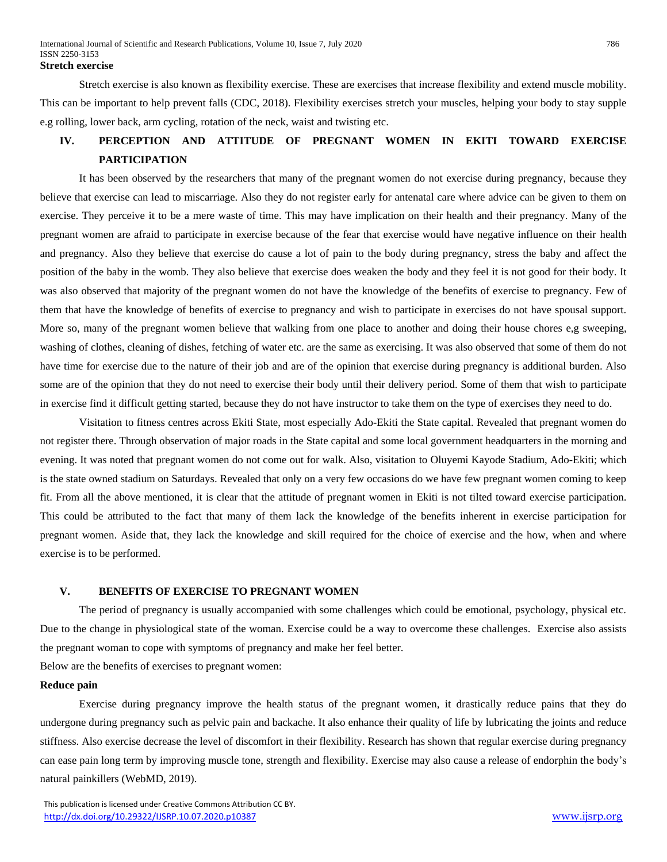Stretch exercise is also known as flexibility exercise. These are exercises that increase flexibility and extend muscle mobility. This can be important to help prevent falls (CDC, 2018). Flexibility exercises stretch your muscles, helping your body to stay supple e.g rolling, lower back, arm cycling, rotation of the neck, waist and twisting etc.

# **IV. PERCEPTION AND ATTITUDE OF PREGNANT WOMEN IN EKITI TOWARD EXERCISE PARTICIPATION**

It has been observed by the researchers that many of the pregnant women do not exercise during pregnancy, because they believe that exercise can lead to miscarriage. Also they do not register early for antenatal care where advice can be given to them on exercise. They perceive it to be a mere waste of time. This may have implication on their health and their pregnancy. Many of the pregnant women are afraid to participate in exercise because of the fear that exercise would have negative influence on their health and pregnancy. Also they believe that exercise do cause a lot of pain to the body during pregnancy, stress the baby and affect the position of the baby in the womb. They also believe that exercise does weaken the body and they feel it is not good for their body. It was also observed that majority of the pregnant women do not have the knowledge of the benefits of exercise to pregnancy. Few of them that have the knowledge of benefits of exercise to pregnancy and wish to participate in exercises do not have spousal support. More so, many of the pregnant women believe that walking from one place to another and doing their house chores e,g sweeping, washing of clothes, cleaning of dishes, fetching of water etc. are the same as exercising. It was also observed that some of them do not have time for exercise due to the nature of their job and are of the opinion that exercise during pregnancy is additional burden. Also some are of the opinion that they do not need to exercise their body until their delivery period. Some of them that wish to participate in exercise find it difficult getting started, because they do not have instructor to take them on the type of exercises they need to do.

Visitation to fitness centres across Ekiti State, most especially Ado-Ekiti the State capital. Revealed that pregnant women do not register there. Through observation of major roads in the State capital and some local government headquarters in the morning and evening. It was noted that pregnant women do not come out for walk. Also, visitation to Oluyemi Kayode Stadium, Ado-Ekiti; which is the state owned stadium on Saturdays. Revealed that only on a very few occasions do we have few pregnant women coming to keep fit. From all the above mentioned, it is clear that the attitude of pregnant women in Ekiti is not tilted toward exercise participation. This could be attributed to the fact that many of them lack the knowledge of the benefits inherent in exercise participation for pregnant women. Aside that, they lack the knowledge and skill required for the choice of exercise and the how, when and where exercise is to be performed.

# **V. BENEFITS OF EXERCISE TO PREGNANT WOMEN**

The period of pregnancy is usually accompanied with some challenges which could be emotional, psychology, physical etc. Due to the change in physiological state of the woman. Exercise could be a way to overcome these challenges. Exercise also assists the pregnant woman to cope with symptoms of pregnancy and make her feel better.

Below are the benefits of exercises to pregnant women:

#### **Reduce pain**

Exercise during pregnancy improve the health status of the pregnant women, it drastically reduce pains that they do undergone during pregnancy such as pelvic pain and backache. It also enhance their quality of life by lubricating the joints and reduce stiffness. Also exercise decrease the level of discomfort in their flexibility. Research has shown that regular exercise during pregnancy can ease pain long term by improving muscle tone, strength and flexibility. Exercise may also cause a release of endorphin the body's natural painkillers (WebMD, 2019).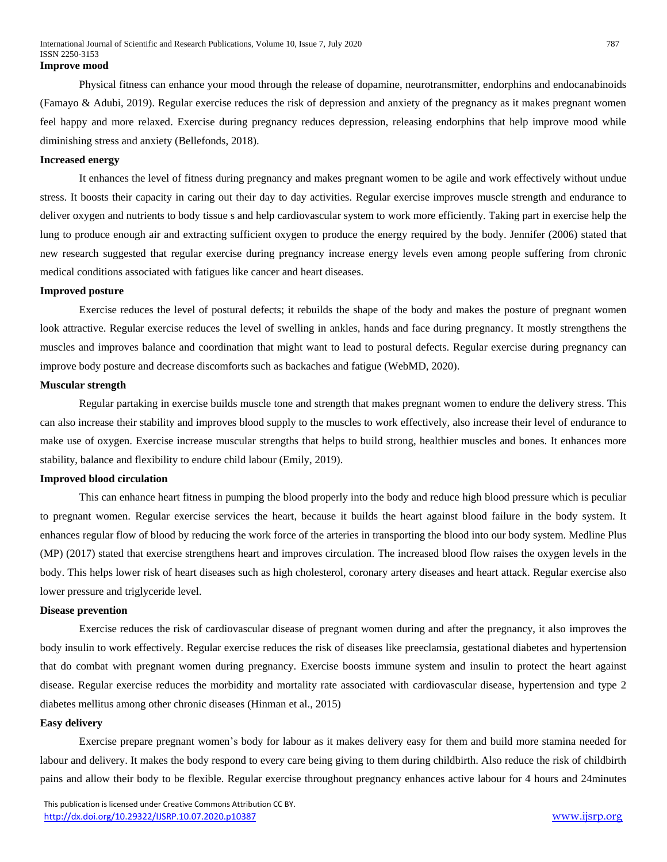Physical fitness can enhance your mood through the release of dopamine, neurotransmitter, endorphins and endocanabinoids (Famayo & Adubi, 2019). Regular exercise reduces the risk of depression and anxiety of the pregnancy as it makes pregnant women feel happy and more relaxed. Exercise during pregnancy reduces depression, releasing endorphins that help improve mood while diminishing stress and anxiety (Bellefonds, 2018).

#### **Increased energy**

It enhances the level of fitness during pregnancy and makes pregnant women to be agile and work effectively without undue stress. It boosts their capacity in caring out their day to day activities. Regular exercise improves muscle strength and endurance to deliver oxygen and nutrients to body tissue s and help cardiovascular system to work more efficiently. Taking part in exercise help the lung to produce enough air and extracting sufficient oxygen to produce the energy required by the body. Jennifer (2006) stated that new research suggested that regular exercise during pregnancy increase energy levels even among people suffering from chronic medical conditions associated with fatigues like cancer and heart diseases.

#### **Improved posture**

Exercise reduces the level of postural defects; it rebuilds the shape of the body and makes the posture of pregnant women look attractive. Regular exercise reduces the level of swelling in ankles, hands and face during pregnancy. It mostly strengthens the muscles and improves balance and coordination that might want to lead to postural defects. Regular exercise during pregnancy can improve body posture and decrease discomforts such as backaches and fatigue (WebMD, 2020).

#### **Muscular strength**

Regular partaking in exercise builds muscle tone and strength that makes pregnant women to endure the delivery stress. This can also increase their stability and improves blood supply to the muscles to work effectively, also increase their level of endurance to make use of oxygen. Exercise increase muscular strengths that helps to build strong, healthier muscles and bones. It enhances more stability, balance and flexibility to endure child labour (Emily, 2019).

#### **Improved blood circulation**

This can enhance heart fitness in pumping the blood properly into the body and reduce high blood pressure which is peculiar to pregnant women. Regular exercise services the heart, because it builds the heart against blood failure in the body system. It enhances regular flow of blood by reducing the work force of the arteries in transporting the blood into our body system. Medline Plus (MP) (2017) stated that exercise strengthens heart and improves circulation. The increased blood flow raises the oxygen levels in the body. This helps lower risk of heart diseases such as high cholesterol, coronary artery diseases and heart attack. Regular exercise also lower pressure and triglyceride level.

#### **Disease prevention**

Exercise reduces the risk of cardiovascular disease of pregnant women during and after the pregnancy, it also improves the body insulin to work effectively. Regular exercise reduces the risk of diseases like preeclamsia, gestational diabetes and hypertension that do combat with pregnant women during pregnancy. Exercise boosts immune system and insulin to protect the heart against disease. Regular exercise reduces the morbidity and mortality rate associated with cardiovascular disease, hypertension and type 2 diabetes mellitus among other chronic diseases (Hinman et al., 2015)

#### **Easy delivery**

Exercise prepare pregnant women's body for labour as it makes delivery easy for them and build more stamina needed for labour and delivery. It makes the body respond to every care being giving to them during childbirth. Also reduce the risk of childbirth pains and allow their body to be flexible. Regular exercise throughout pregnancy enhances active labour for 4 hours and 24minutes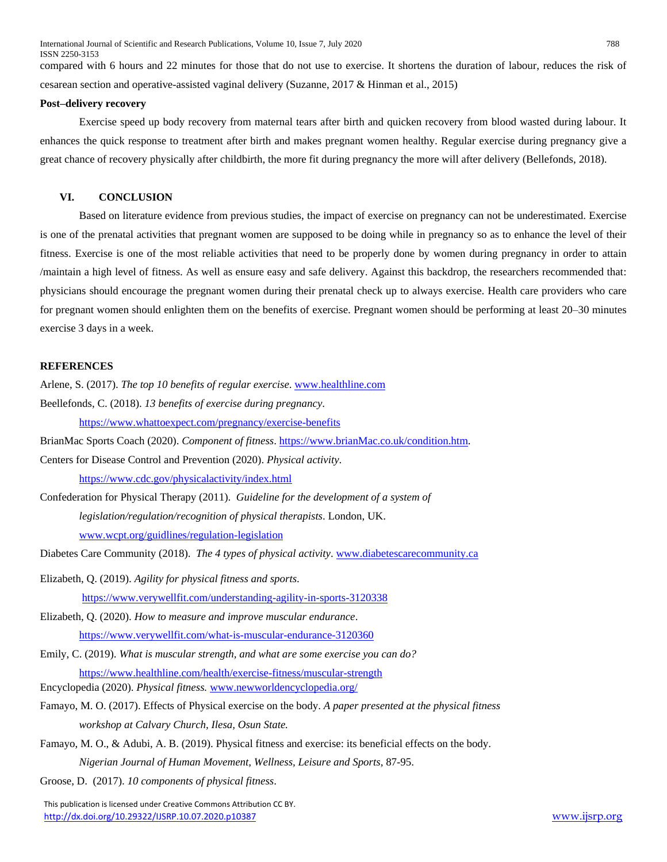International Journal of Scientific and Research Publications, Volume 10, Issue 7, July 2020 788 ISSN 2250-3153

compared with 6 hours and 22 minutes for those that do not use to exercise. It shortens the duration of labour, reduces the risk of cesarean section and operative-assisted vaginal delivery (Suzanne, 2017 & Hinman et al., 2015)

#### **Post–delivery recovery**

Exercise speed up body recovery from maternal tears after birth and quicken recovery from blood wasted during labour. It enhances the quick response to treatment after birth and makes pregnant women healthy. Regular exercise during pregnancy give a great chance of recovery physically after childbirth, the more fit during pregnancy the more will after delivery (Bellefonds, 2018).

# **VI. CONCLUSION**

Based on literature evidence from previous studies, the impact of exercise on pregnancy can not be underestimated. Exercise is one of the prenatal activities that pregnant women are supposed to be doing while in pregnancy so as to enhance the level of their fitness. Exercise is one of the most reliable activities that need to be properly done by women during pregnancy in order to attain /maintain a high level of fitness. As well as ensure easy and safe delivery. Against this backdrop, the researchers recommended that: physicians should encourage the pregnant women during their prenatal check up to always exercise. Health care providers who care for pregnant women should enlighten them on the benefits of exercise. Pregnant women should be performing at least 20–30 minutes exercise 3 days in a week.

# **REFERENCES**

Arlene, S. (2017). *The top 10 benefits of regular exercise*[. www.healthline.com](http://www.healthline.com/) Beellefonds, C. (2018). *13 benefits of exercise during pregnancy*.

<https://www.whattoexpect.com/pregnancy/exercise-benefits>

BrianMac Sports Coach (2020). *Component of fitness*. [https://www.brianMac.co.uk/condition.htm.](https://www.brianmac.co.uk/condition.htm)

Centers for Disease Control and Prevention (2020). *Physical activity*.

<https://www.cdc.gov/physicalactivity/index.html>

Confederation for Physical Therapy (2011). *Guideline for the development of a system of legislation/regulation/recognition of physical therapists*. London, UK. [www.wcpt.org/guidlines/regulation-legislation](http://www.wcpt.org/guidlines/regulation-legislation)

Diabetes Care Community (2018). *The 4 types of physical activity*[. www.diabetescarecommunity.ca](http://www.diabetescarecommunity.ca/)

- Elizabeth, Q. (2019). *Agility for physical fitness and sports*. <https://www.verywellfit.com/understanding-agility-in-sports-3120338>
- Elizabeth, Q. (2020). *How to measure and improve muscular endurance*. <https://www.verywellfit.com/what-is-muscular-endurance-3120360>
- Emily, C. (2019). *What is muscular strength, and what are some exercise you can do?* <https://www.healthline.com/health/exercise-fitness/muscular-strength>
- Encyclopedia (2020). *Physical fitness.* [www.newworldencyclopedia.org/](http://www.newworldencyclopedia.org/)
- Famayo, M. O. (2017). Effects of Physical exercise on the body. *A paper presented at the physical fitness workshop at Calvary Church, Ilesa, Osun State.*
- Famayo, M. O., & Adubi, A. B. (2019). Physical fitness and exercise: its beneficial effects on the body. *Nigerian Journal of Human Movement, Wellness, Leisure and Sports*, 87-95.

Groose, D. (2017). *10 components of physical fitness*.

 This publication is licensed under Creative Commons Attribution CC BY. <http://dx.doi.org/10.29322/IJSRP.10.07.2020.p10387> [www.ijsrp.org](http://ijsrp.org/)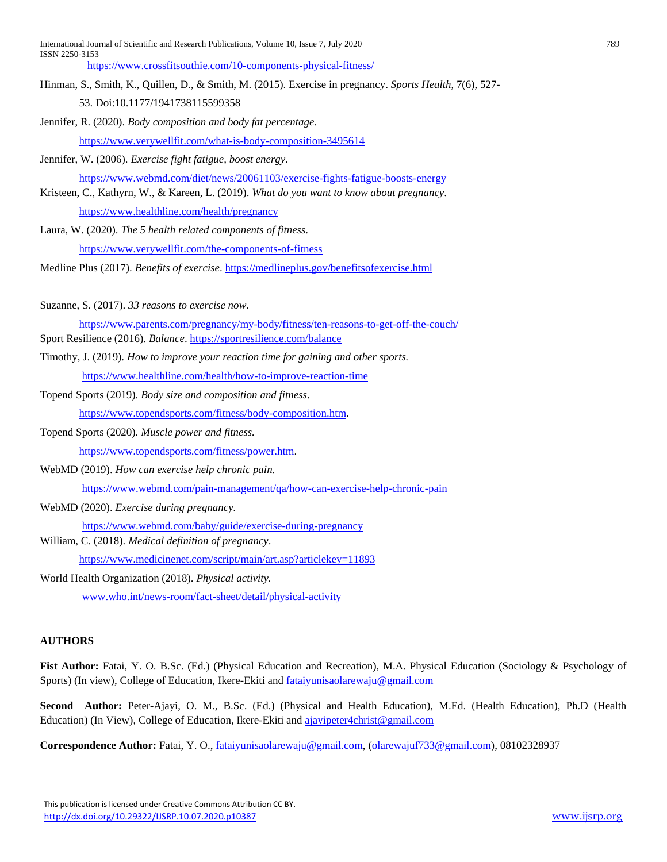International Journal of Scientific and Research Publications, Volume 10, Issue 7, July 2020 789 ISSN 2250-3153

<https://www.crossfitsouthie.com/10-components-physical-fitness/>

- Hinman, S., Smith, K., Quillen, D., & Smith, M. (2015). Exercise in pregnancy. *Sports Health*, 7(6), 527- 53. Doi:10.1177/1941738115599358
- Jennifer, R. (2020). *Body composition and body fat percentage*.

<https://www.verywellfit.com/what-is-body-composition-3495614>

Jennifer, W. (2006). *Exercise fight fatigue, boost energy*.

- <https://www.webmd.com/diet/news/20061103/exercise-fights-fatigue-boosts-energy>
- Kristeen, C., Kathyrn, W., & Kareen, L. (2019). *What do you want to know about pregnancy*.

<https://www.healthline.com/health/pregnancy>

Laura, W. (2020). *The 5 health related components of fitness*. <https://www.verywellfit.com/the-components-of-fitness>

Medline Plus (2017). *Benefits of exercise*[. https://medlineplus.gov/benefitsofexercise.html](https://medlineplus.gov/benefitsofexercise.html)

Suzanne, S. (2017). *33 reasons to exercise now*.

<https://www.parents.com/pregnancy/my-body/fitness/ten-reasons-to-get-off-the-couch/> Sport Resilience (2016). *Balance*[. https://sportresilience.com/balance](https://sportresilience.com/balance)

- Timothy, J. (2019). *How to improve your reaction time for gaining and other sports.* <https://www.healthline.com/health/how-to-improve-reaction-time>
- Topend Sports (2019). *Body size and composition and fitness*. [https://www.topendsports.com/fitness/body-composition.htm.](https://www.topendsports.com/fitness/body-composition.htm)
- Topend Sports (2020). *Muscle power and fitness.*  [https://www.topendsports.com/fitness/power.htm.](https://www.topendsports.com/fitness/power.htm)

WebMD (2019). *How can exercise help chronic pain.*

<https://www.webmd.com/pain-management/qa/how-can-exercise-help-chronic-pain>

WebMD (2020). *Exercise during pregnancy.*

<https://www.webmd.com/baby/guide/exercise-during-pregnancy>

William, C. (2018). *Medical definition of pregnancy*.

<https://www.medicinenet.com/script/main/art.asp?articlekey=11893>

World Health Organization (2018). *Physical activity.*

[www.who.int/news-room/fact-sheet/detail/physical-activity](http://www.who.int/news-room/fact-sheet/detail/physical-activity)

# **AUTHORS**

**Fist Author:** Fatai, Y. O. B.Sc. (Ed.) (Physical Education and Recreation), M.A. Physical Education (Sociology & Psychology of Sports) (In view), College of Education, Ikere-Ekiti an[d fataiyunisaolarewaju@gmail.com](mailto:fataiyunisaolarewaju@gmail.com)

**Second Author:** Peter-Ajayi, O. M., B.Sc. (Ed.) (Physical and Health Education), M.Ed. (Health Education), Ph.D (Health Education) (In View), College of Education, Ikere-Ekiti and [ajayipeter4christ@gmail.com](mailto:ajayipeter4christ@gmail.com)

**Correspondence Author:** Fatai, Y. O., [fataiyunisaolarewaju@gmail.com,](mailto:fataiyunisaolarewaju@gmail.com) [\(olarewajuf733@gmail.com\)](mailto:olarewajuf733@gmail.com), 08102328937